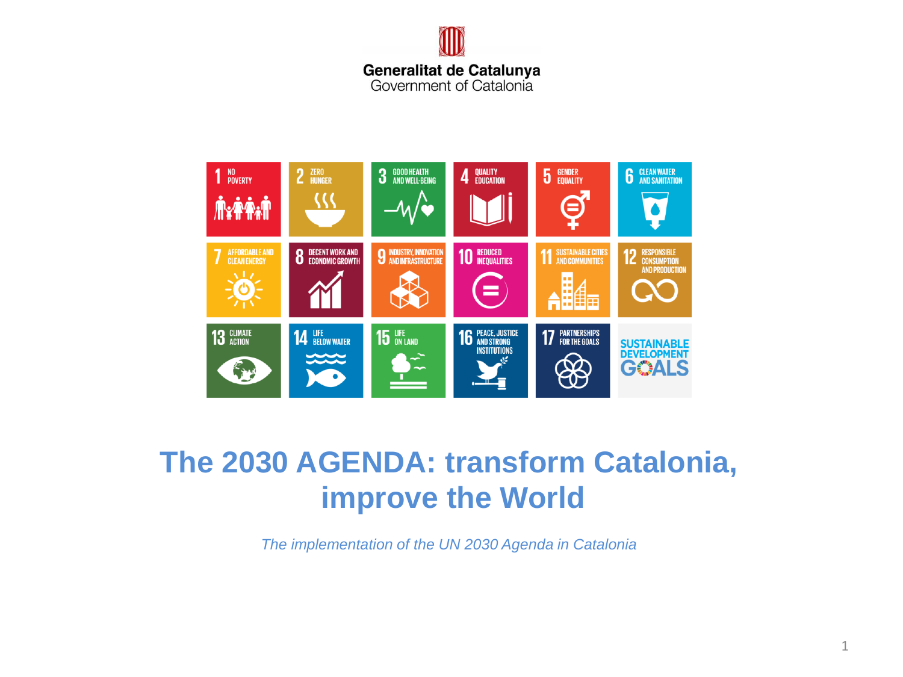



# **The 2030 AGENDA: transform Catalonia, improve the World**

*The implementation of the UN 2030 Agenda in Catalonia*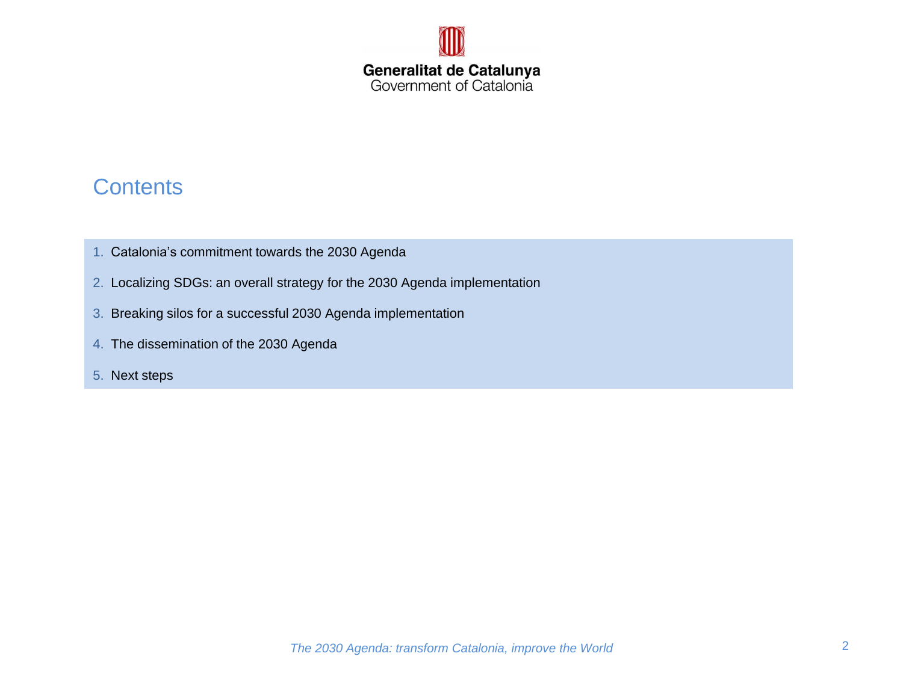

## **Contents**

- 1. Catalonia's commitment towards the 2030 Agenda
- 2. Localizing SDGs: an overall strategy for the 2030 Agenda implementation
- 3. Breaking silos for a successful 2030 Agenda implementation
- 4. The dissemination of the 2030 Agenda
- 5. Next steps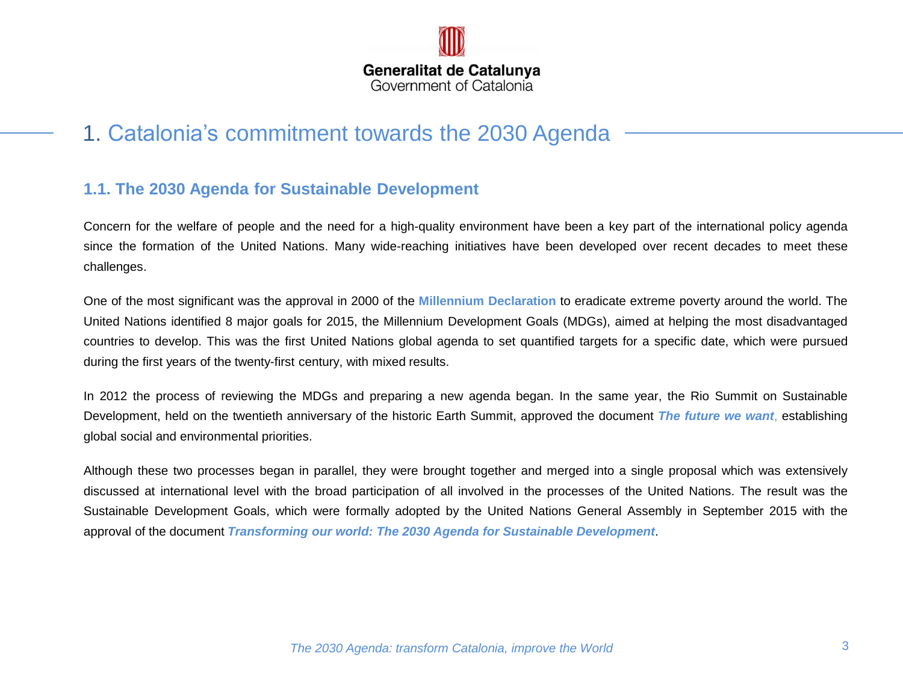

## 1. Catalonia's commitment towards the 2030 Agenda

#### **1.1. The 2030 Agenda for Sustainable Development**

Concern for the welfare of people and the need for a high-quality environment have been a key part of the international policy agenda since the formation of the United Nations. Many wide-reaching initiatives have been developed over recent decades to meet these challenges.

One of the most significant was the approval in 2000 of the **Millennium Declaration** to eradicate extreme poverty around the world. The United Nations identified 8 major goals for 2015, the Millennium Development Goals (MDGs), aimed at helping the most disadvantaged countries to develop. This was the first United Nations global agenda to set quantified targets for a specific date, which were pursued during the first years of the twenty-first century, with mixed results.

In 2012 the process of reviewing the MDGs and preparing a new agenda began. In the same year, the Rio Summit on Sustainable Development, held on the twentieth anniversary of the historic Earth Summit, approved the document *The future we want*, establishing global social and environmental priorities.

Although these two processes began in parallel, they were brought together and merged into a single proposal which was extensively discussed at international level with the broad participation of all involved in the processes of the United Nations. The result was the Sustainable Development Goals, which were formally adopted by the United Nations General Assembly in September 2015 with the approval of the document *Transforming our world: The 2030 Agenda for Sustainable Development*.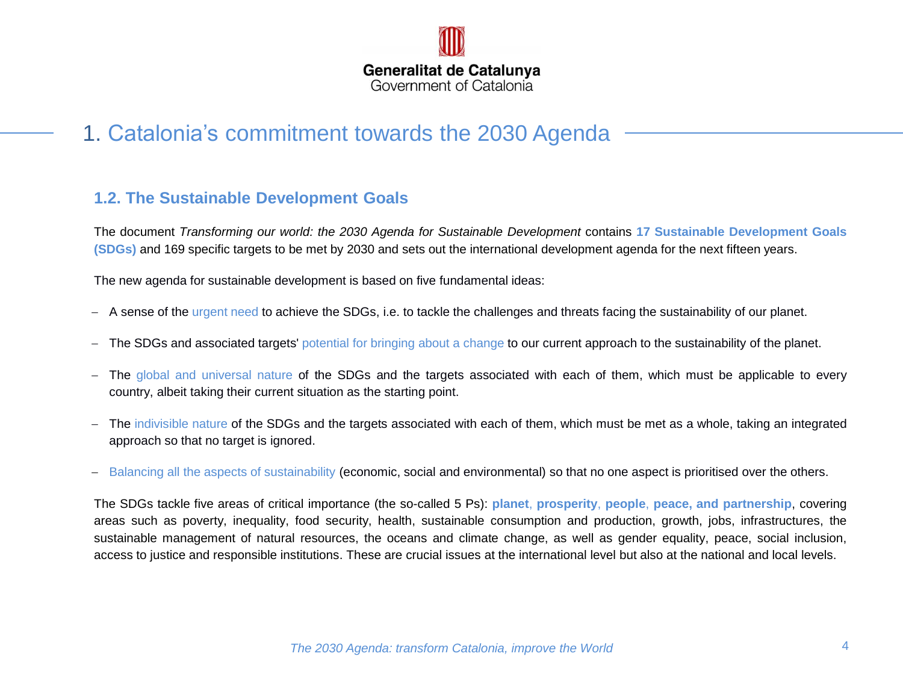

## 1. Catalonia's commitment towards the 2030 Agenda

#### **1.2. The Sustainable Development Goals**

The document *Transforming our world: the 2030 Agenda for Sustainable Development* contains **17 Sustainable Development Goals (SDGs)** and 169 specific targets to be met by 2030 and sets out the international development agenda for the next fifteen years.

The new agenda for sustainable development is based on five fundamental ideas:

- A sense of the urgent need to achieve the SDGs, i.e. to tackle the challenges and threats facing the sustainability of our planet.
- The SDGs and associated targets' potential for bringing about a change to our current approach to the sustainability of the planet.
- The global and universal nature of the SDGs and the targets associated with each of them, which must be applicable to every country, albeit taking their current situation as the starting point.
- The indivisible nature of the SDGs and the targets associated with each of them, which must be met as a whole, taking an integrated approach so that no target is ignored.
- Balancing all the aspects of sustainability (economic, social and environmental) so that no one aspect is prioritised over the others.

The SDGs tackle five areas of critical importance (the so-called 5 Ps): **planet**, **prosperity**, **people**, **peace, and partnership**, covering areas such as poverty, inequality, food security, health, sustainable consumption and production, growth, jobs, infrastructures, the sustainable management of natural resources, the oceans and climate change, as well as gender equality, peace, social inclusion, access to justice and responsible institutions. These are crucial issues at the international level but also at the national and local levels.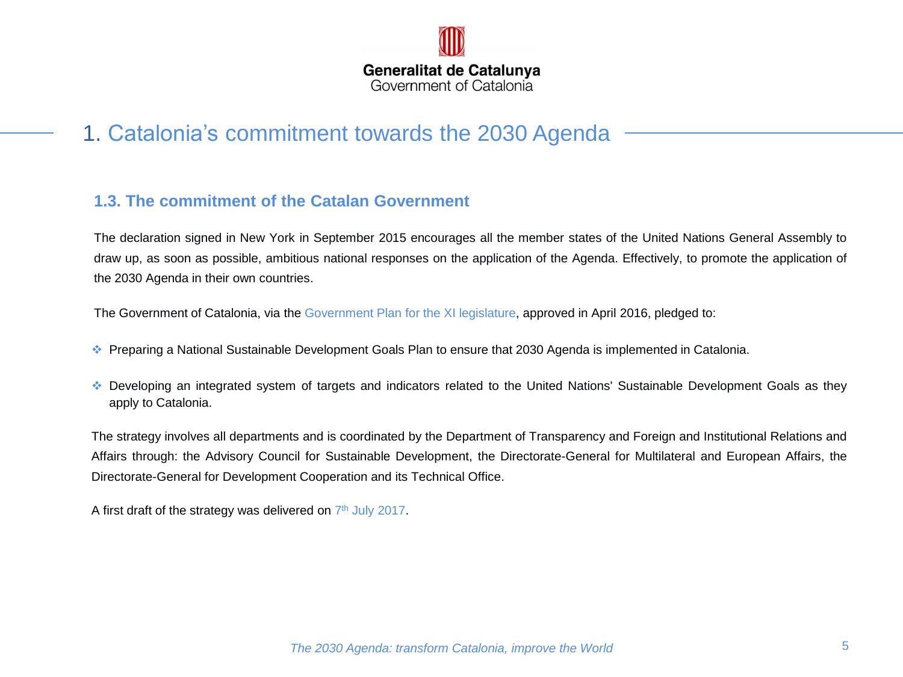

## 1. Catalonia's commitment towards the 2030 Agenda

#### **1.3. The commitment of the Catalan Government**

The declaration signed in New York in September 2015 encourages all the member states of the United Nations General Assembly to draw up, as soon as possible, ambitious national responses on the application of the Agenda. Effectively, to promote the application of the 2030 Agenda in their own countries.

The Government of Catalonia, via the Government Plan for the XI legislature, approved in April 2016, pledged to:

- Preparing a National Sustainable Development Goals Plan to ensure that 2030 Agenda is implemented in Catalonia.
- Developing an integrated system of targets and indicators related to the United Nations' Sustainable Development Goals as they apply to Catalonia.

The strategy involves all departments and is coordinated by the Department of Transparency and Foreign and Institutional Relations and Affairs through: the Advisory Council for Sustainable Development, the Directorate-General for Multilateral and European Affairs, the Directorate-General for Development Cooperation and its Technical Office.

A first draft of the strategy was delivered on  $7<sup>th</sup>$  July 2017.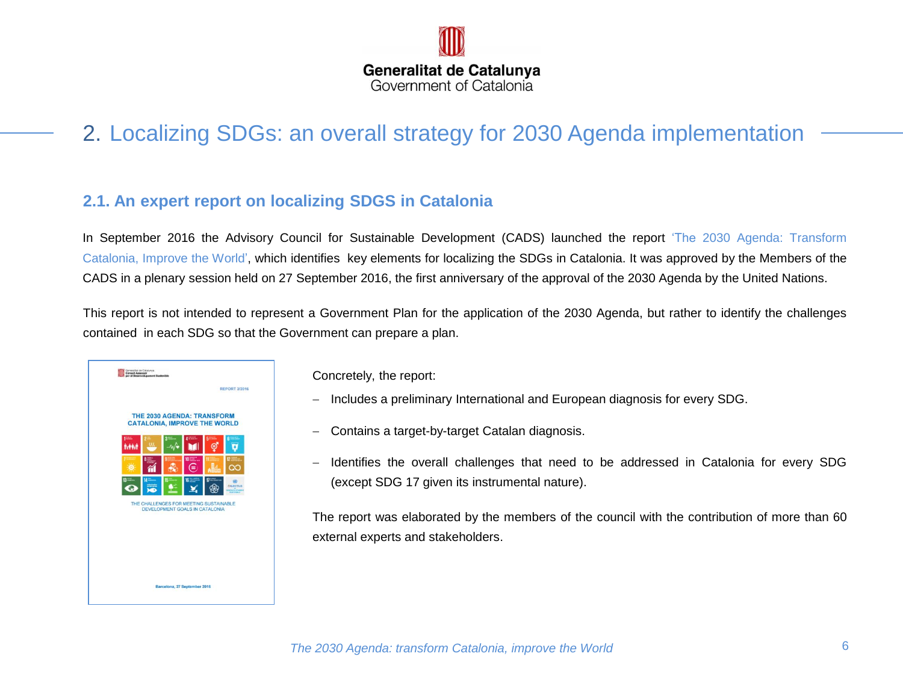

## 2. Localizing SDGs: an overall strategy for 2030 Agenda implementation

#### **2.1. An expert report on localizing SDGS in Catalonia**

In September 2016 the Advisory Council for Sustainable Development (CADS) launched the report 'The 2030 Agenda: Transform Catalonia, Improve the World', which identifies key elements for localizing the SDGs in Catalonia. It was approved by the Members of the CADS in a plenary session held on 27 September 2016, the first anniversary of the approval of the 2030 Agenda by the United Nations.

This report is not intended to represent a Government Plan for the application of the 2030 Agenda, but rather to identify the challenges contained in each SDG so that the Government can prepare a plan.

| Generalist de Catalunya<br>Consell Assessor<br>per al Desenvolupament Sostenible |                                |    |                      |
|----------------------------------------------------------------------------------|--------------------------------|----|----------------------|
|                                                                                  |                                |    | <b>REPORT 3/2016</b> |
| THE 2030 AGENDA: TRANSFORM<br><b>CATALONIA, IMPROVE THE WORLD</b>                |                                |    |                      |
| Ma                                                                               |                                |    |                      |
|                                                                                  |                                | 10 |                      |
|                                                                                  |                                | G  | <b>OR SCTUS</b>      |
| THE CHALLENGES FOR MEETING SUSTAINABLE                                           | DEVELOPMENT GOALS IN CATALONIA |    |                      |
|                                                                                  |                                |    |                      |
|                                                                                  |                                |    |                      |
|                                                                                  |                                |    |                      |
|                                                                                  | Barcelona, 27 September 2016   |    |                      |

Concretely, the report:

- Includes a preliminary International and European diagnosis for every SDG.
- Contains a target-by-target Catalan diagnosis.
- Identifies the overall challenges that need to be addressed in Catalonia for every SDG (except SDG 17 given its instrumental nature).

The report was elaborated by the members of the council with the contribution of more than 60 external experts and stakeholders.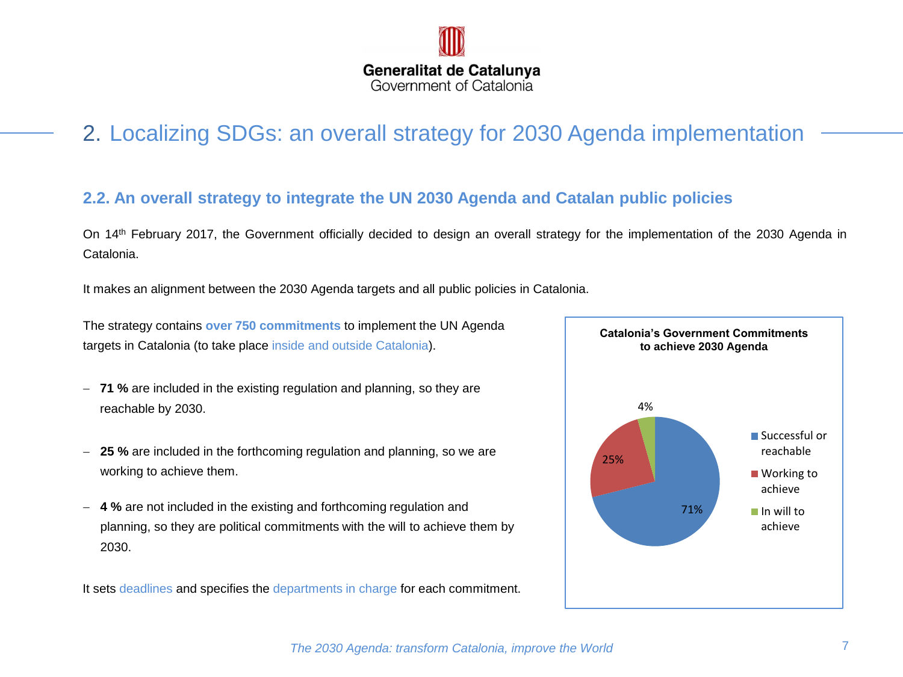

## 2. Localizing SDGs: an overall strategy for 2030 Agenda implementation

### **2.2. An overall strategy to integrate the UN 2030 Agenda and Catalan public policies**

On 14th February 2017, the Government officially decided to design an overall strategy for the implementation of the 2030 Agenda in Catalonia.

It makes an alignment between the 2030 Agenda targets and all public policies in Catalonia.

. targets in Catalonia (to take place inside and outside Catalonia). The strategy contains **over 750 commitments** to implement the UN Agenda

- **71 %** are included in the existing regulation and planning, so they are reachable by 2030.
- **25 %** are included in the forthcoming regulation and planning, so we are working to achieve them.
- **4 %** are not included in the existing and forthcoming regulation and planning, so they are political commitments with the will to achieve them by 2030.

It sets deadlines and specifies the departments in charge for each commitment.

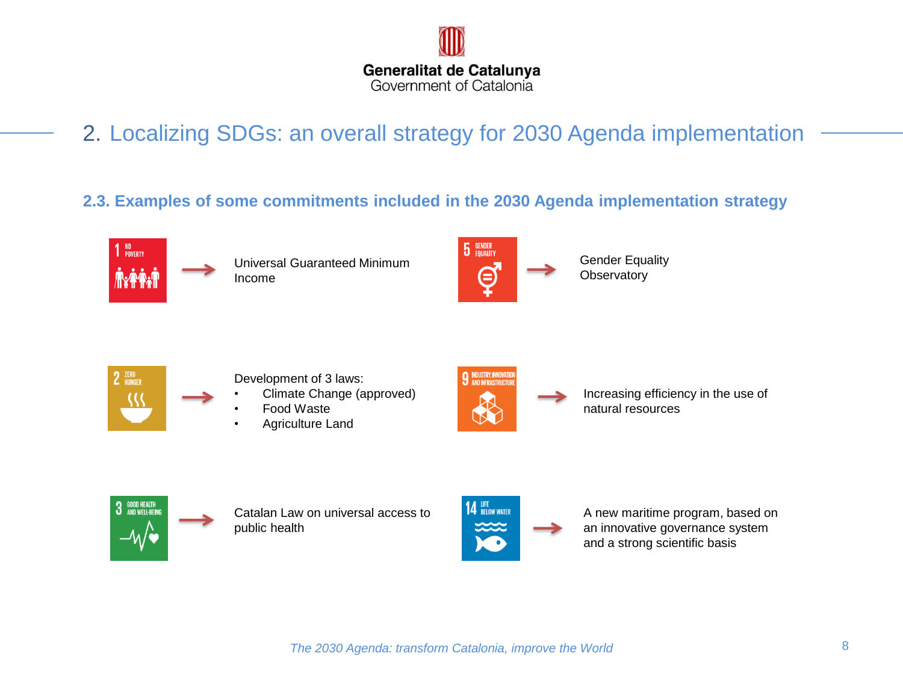

2. Localizing SDGs: an overall strategy for 2030 Agenda implementation

## **2.3. Examples of some commitments included in the 2030 Agenda implementation strategy**





2 ZERO

- Development of 3 laws:
- Climate Change (approved)
- Food Waste
- Agriculture Land



Increasing efficiency in the use of natural resources



Catalan Law on universal access to public health



A new maritime program, based on an innovative governance system and a strong scientific basis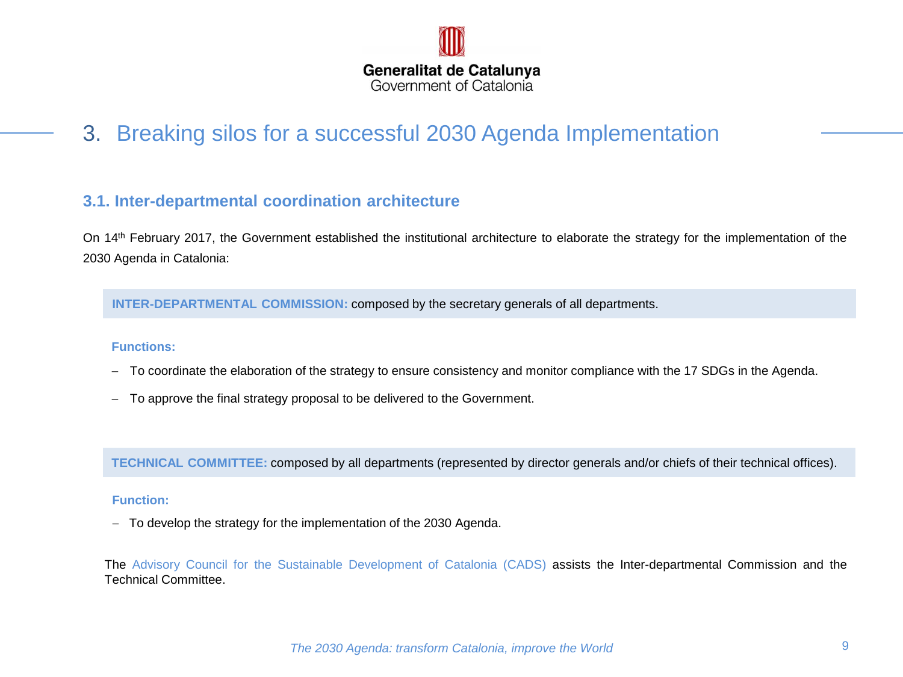

## 3. Breaking silos for a successful 2030 Agenda Implementation

#### **3.1. Inter-departmental coordination architecture**

On 14th February 2017, the Government established the institutional architecture to elaborate the strategy for the implementation of the 2030 Agenda in Catalonia:

**INTER-DEPARTMENTAL COMMISSION:** composed by the secretary generals of all departments.

#### **Functions:**

- To coordinate the elaboration of the strategy to ensure consistency and monitor compliance with the 17 SDGs in the Agenda.
- To approve the final strategy proposal to be delivered to the Government.

**TECHNICAL COMMITTEE:** composed by all departments (represented by director generals and/or chiefs of their technical offices).

#### **Function:**

- To develop the strategy for the implementation of the 2030 Agenda.

The Advisory Council for the Sustainable Development of Catalonia (CADS) assists the Inter-departmental Commission and the Technical Committee.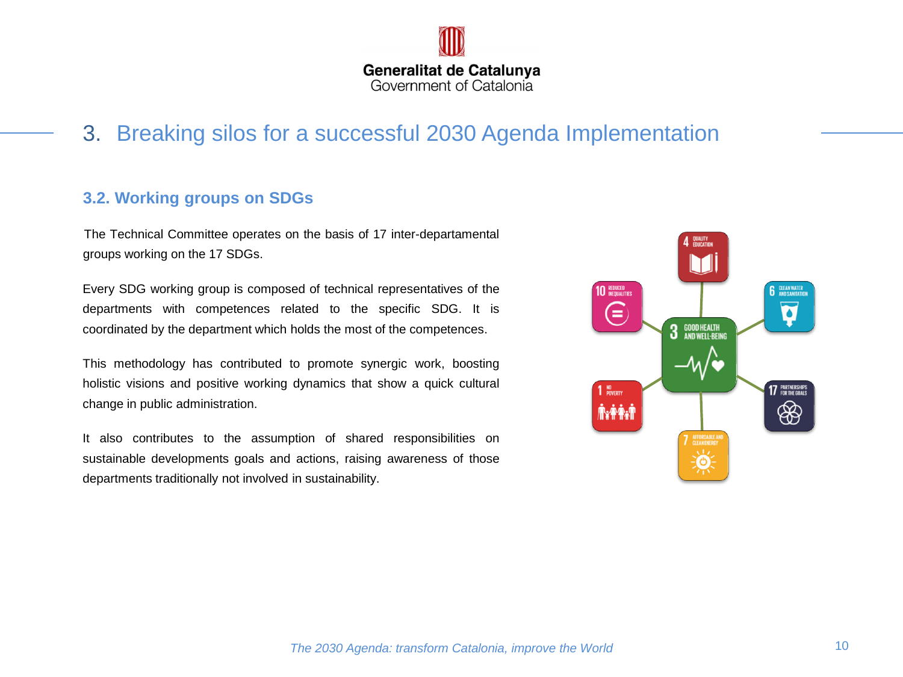

## 3. Breaking silos for a successful 2030 Agenda Implementation

#### **3.2. Working groups on SDGs**

The Technical Committee operates on the basis of 17 inter-departamental groups working on the 17 SDGs.

Every SDG working group is composed of technical representatives of the departments with competences related to the specific SDG. It is coordinated by the department which holds the most of the competences.

This methodology has contributed to promote synergic work, boosting holistic visions and positive working dynamics that show a quick cultural change in public administration.

It also contributes to the assumption of shared responsibilities on sustainable developments goals and actions, raising awareness of those departments traditionally not involved in sustainability.

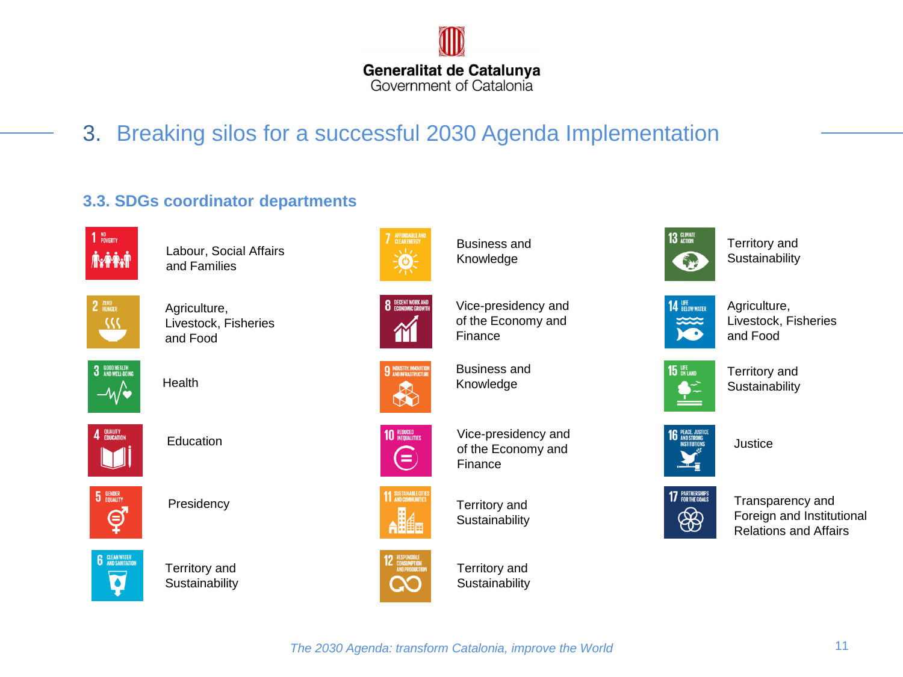

3. Breaking silos for a successful 2030 Agenda Implementation

### **3.3. SDGs coordinator departments**



Labour, Social Affairs and Families



Agriculture, Livestock, Fisheries and Food



Health



Education



Presidency



Territory and **Sustainability** 



Business and Knowledge



**9 INDUSTRY, INNOVATION** 

R

Vice-presidency and of the Economy and Finance

Business and Knowledge



11 SUSTAINABLE CITI

Vice-presidency and of the Economy and Finance

Territory and **Sustainability** 



Territory and **Sustainability** 



Territory and **Sustainability** 



Agriculture, Livestock, Fisheries and Food



Territory and **Sustainability** 



**Justice** 



Transparency and Foreign and Institutional Relations and Affairs

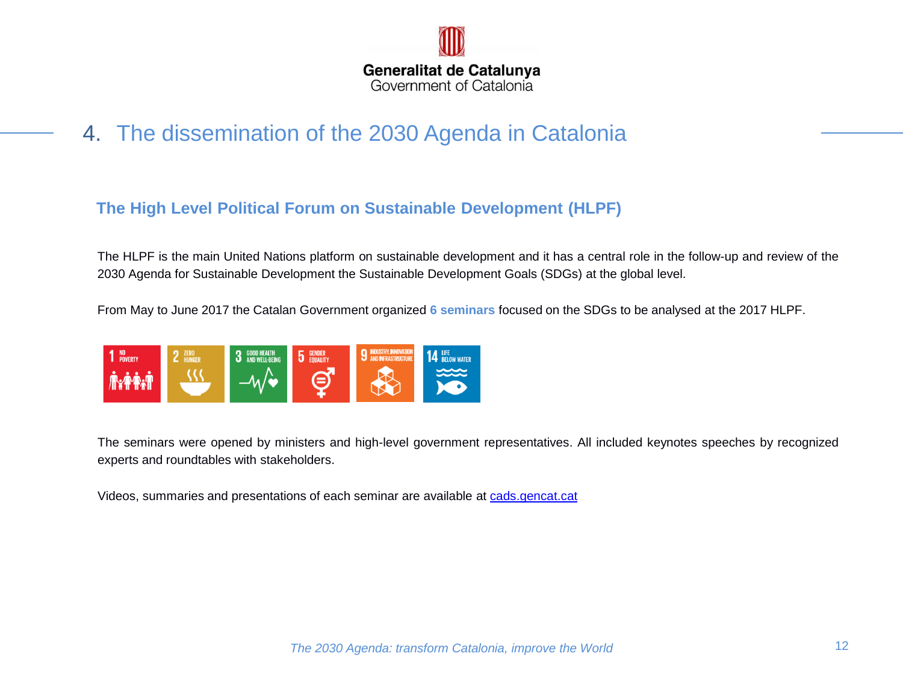

4. The dissemination of the 2030 Agenda in Catalonia

## **The High Level Political Forum on Sustainable Development (HLPF)**

The HLPF is the main United Nations platform on sustainable development and it has a central role in the follow-up and review of the 2030 Agenda for Sustainable Development the Sustainable Development Goals (SDGs) at the global level.

From May to June 2017 the Catalan Government organized **6 seminars** focused on the SDGs to be analysed at the 2017 HLPF.



The seminars were opened by ministers and high-level government representatives. All included keynotes speeches by recognized experts and roundtables with stakeholders.

Videos, summaries and presentations of each seminar are available at [cads.gencat.cat](http://cads.gencat.cat/ca/inici/index.html)